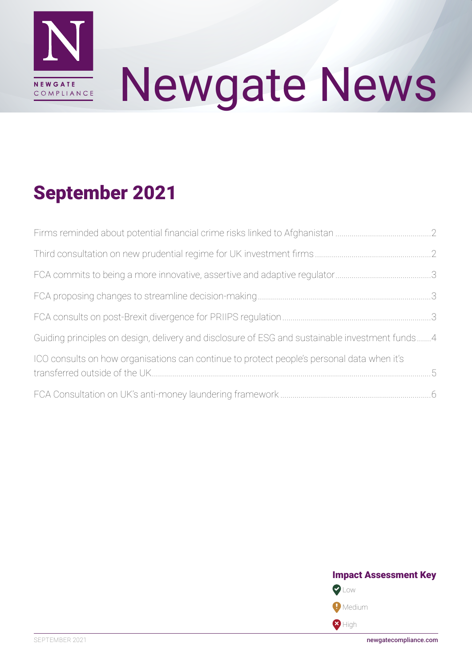

# Newgate News

# September 2021

| Guiding principles on design, delivery and disclosure of ESG and sustainable investment funds4 |  |
|------------------------------------------------------------------------------------------------|--|
| ICO consults on how organisations can continue to protect people's personal data when it's     |  |
|                                                                                                |  |

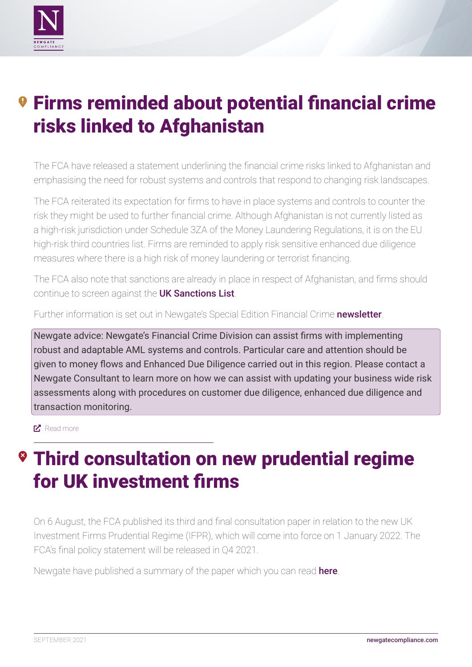<span id="page-1-0"></span>

# *<b>9 Firms reminded about potential financial crime* risks linked to Afghanistan

The FCA have released a statement underlining the financial crime risks linked to Afghanistan and emphasising the need for robust systems and controls that respond to changing risk landscapes.

The FCA reiterated its expectation for firms to have in place systems and controls to counter the risk they might be used to further financial crime. Although Afghanistan is not currently listed as a high-risk jurisdiction under Schedule 3ZA of the Money Laundering Regulations, it is on the EU high-risk third countries list. Firms are reminded to apply risk sensitive enhanced due diligence measures where there is a high risk of money laundering or terrorist financing.

The FCA also note that sanctions are already in place in respect of Afghanistan, and firms should continue to screen against the [UK Sanctions List](https://www.gov.uk/government/publications/financial-sanctions-consolidated-list-of-targets).

Further information is set out in Newgate's Special Edition Financial Crime [newsletter](http://newgatecompliance.com/downloader/YmI1ZmI5ZTFjNGNkNjM5OWU4MTJmYzM4NmVlMTQxZDn-p23zaMioR4VE3pAEyZDNMXFmOTlodmdHT3plTWxIbEx0cnQ0TG1wMFppbEFhaEhRQWc3allsRXJYb3U1N0c4eEZKejFMakR2ZW9wUUdoMA).

Newgate advice: Newgate's Financial Crime Division can assist firms with implementing robust and adaptable AML systems and controls. Particular care and attention should be given to money flows and Enhanced Due Diligence carried out in this region. Please contact a Newgate Consultant to learn more on how we can assist with updating your business wide risk assessments along with procedures on customer due diligence, enhanced due diligence and transaction monitoring.

#### [Read more](https://www.fca.org.uk/news/statements/firms-reminded-about-potential-financial-crime-risks-linked-afghanistan)

# **® Third consultation on new prudential regime** for UK investment firms

On 6 August, the FCA published its third and final consultation paper in relation to the new UK Investment Firms Prudential Regime (IFPR), which will come into force on 1 January 2022. The FCA's final policy statement will be released in Q4 2021.

Newgate have published a summary of the paper which you can read [here](http://newgatecompliance.com/downloader/NjY0Mjg2MWNhMWFkOWUwODZlOTVhNGQ5YTE3OTMwODdgMceVTWCNLw1VnxSrFMY6Uk1iNW5IcUxsTERwRHVrQUZJaDJoTlRmWVppM2ZKVEg0WU9tTFhGeXRodlNvNzRSQnBaR1ZwUUVTcHowVTc4Lw).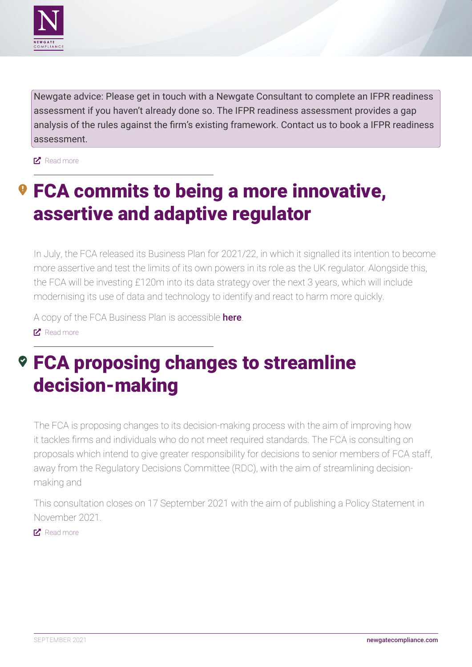<span id="page-2-0"></span>

Newgate advice: Please get in touch with a Newgate Consultant to complete an IFPR readiness assessment if you haven't already done so. The IFPR readiness assessment provides a gap analysis of the rules against the firm's existing framework. Contact us to book a IFPR readiness assessment.

**E** [Read more](https://www.fca.org.uk/news/news-stories/third-consultation-new-prudential-regime-uk-investment-firms)

## *<b>O* FCA commits to being a more innovative, assertive and adaptive regulator

In July, the FCA released its Business Plan for 2021/22, in which it signalled its intention to become more assertive and test the limits of its own powers in its role as the UK regulator. Alongside this, the FCA will be investing £120m into its data strategy over the next 3 years, which will include modernising its use of data and technology to identify and react to harm more quickly.

A copy of the FCA Business Plan is accessible **[here](https://www.fca.org.uk/publications/business-plans/2021-22)**.

**E** [Read more](https://www.fca.org.uk/news/press-releases/fca-commits-being-more-innovative-assertive-adaptive-regulator)

## FCA proposing changes to streamline decision-making

The FCA is proposing changes to its decision-making process with the aim of improving how it tackles firms and individuals who do not meet required standards. The FCA is consulting on proposals which intend to give greater responsibility for decisions to senior members of FCA staff, away from the Regulatory Decisions Committee (RDC), with the aim of streamlining decisionmaking and

This consultation closes on 17 September 2021 with the aim of publishing a Policy Statement in November 2021.

**E** [Read more](https://www.fca.org.uk/news/press-releases/fca-proposing-changes-streamline-decision-making)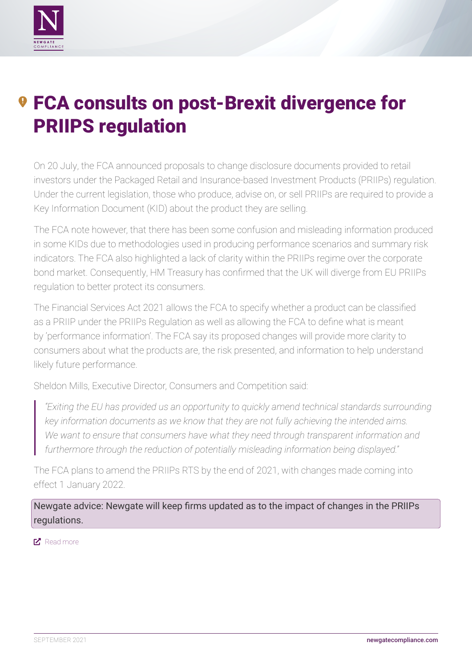<span id="page-3-0"></span>

# **9 FCA consults on post-Brexit divergence for** PRIIPS regulation

On 20 July, the FCA announced proposals to change disclosure documents provided to retail investors under the Packaged Retail and Insurance-based Investment Products (PRIIPs) regulation. Under the current legislation, those who produce, advise on, or sell PRIIPs are required to provide a Key Information Document (KID) about the product they are selling.

The FCA note however, that there has been some confusion and misleading information produced in some KIDs due to methodologies used in producing performance scenarios and summary risk indicators. The FCA also highlighted a lack of clarity within the PRIIPs regime over the corporate bond market. Consequently, HM Treasury has confirmed that the UK will diverge from EU PRIIPs regulation to better protect its consumers.

The Financial Services Act 2021 allows the FCA to specify whether a product can be classified as a PRIIP under the PRIIPs Regulation as well as allowing the FCA to define what is meant by 'performance information'. The FCA say its proposed changes will provide more clarity to consumers about what the products are, the risk presented, and information to help understand likely future performance.

Sheldon Mills, Executive Director, Consumers and Competition said:

*"Exiting the EU has provided us an opportunity to quickly amend technical standards surrounding key information documents as we know that they are not fully achieving the intended aims. We want to ensure that consumers have what they need through transparent information and furthermore through the reduction of potentially misleading information being displayed."*

The FCA plans to amend the PRIIPs RTS by the end of 2021, with changes made coming into effect 1 January 2022.

Newgate advice: Newgate will keep firms updated as to the impact of changes in the PRIIPs regulations.

#### ■ [Read more](https://www.fca.org.uk/news/press-releases/fca-consults-post-brexit-divergence-priips-regulation)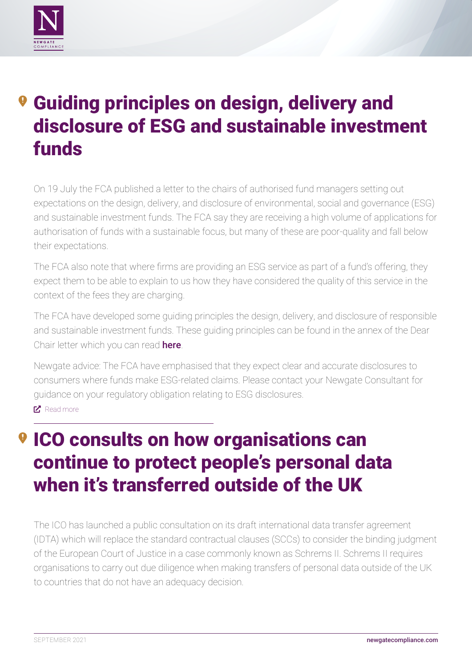<span id="page-4-0"></span>

# **<sup>9</sup> Guiding principles on design, delivery and** disclosure of ESG and sustainable investment funds

On 19 July the FCA published a letter to the chairs of authorised fund managers setting out expectations on the design, delivery, and disclosure of environmental, social and governance (ESG) and sustainable investment funds. The FCA say they are receiving a high volume of applications for authorisation of funds with a sustainable focus, but many of these are poor-quality and fall below their expectations.

The FCA also note that where firms are providing an ESG service as part of a fund's offering, they expect them to be able to explain to us how they have considered the quality of this service in the context of the fees they are charging.

The FCA have developed some guiding principles the design, delivery, and disclosure of responsible and sustainable investment funds. These guiding principles can be found in the annex of the Dear Chair letter which you can read [here](https://www.fca.org.uk/publication/correspondence/dear-chair-letter-authorised-esg-sustainable-investment-funds.pdf).

Newgate advice: The FCA have emphasised that they expect clear and accurate disclosures to consumers where funds make ESG-related claims. Please contact your Newgate Consultant for guidance on your regulatory obligation relating to ESG disclosures. **E** [Read more](https://www.fca.org.uk/news/news-stories/guiding-principles-on-design-delivery-disclosure-esg-sustainable-investment-funds)

# ICO consults on how organisations can continue to protect people's personal data when it's transferred outside of the UK

The ICO has launched a public consultation on its draft international data transfer agreement (IDTA) which will replace the standard contractual clauses (SCCs) to consider the binding judgment of the European Court of Justice in a case commonly known as Schrems II. Schrems II requires organisations to carry out due diligence when making transfers of personal data outside of the UK to countries that do not have an adequacy decision.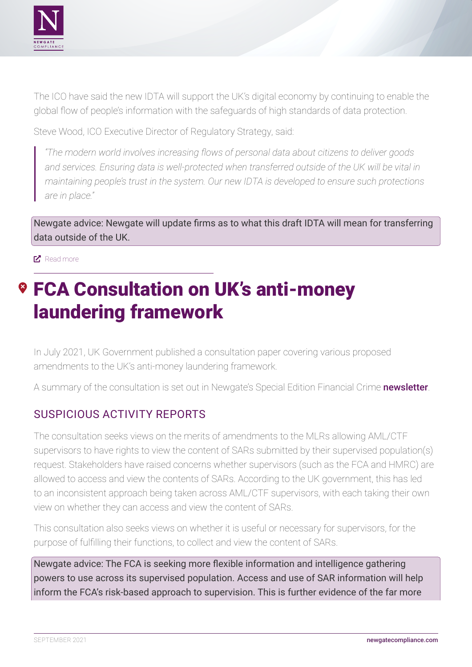<span id="page-5-0"></span>

The ICO have said the new IDTA will support the UK's digital economy by continuing to enable the global flow of people's information with the safeguards of high standards of data protection.

Steve Wood, ICO Executive Director of Regulatory Strategy, said:

*"The modern world involves increasing flows of personal data about citizens to deliver goods and services. Ensuring data is well-protected when transferred outside of the UK will be vital in maintaining people's trust in the system. Our new IDTA is developed to ensure such protections are in place."*

Newgate advice: Newgate will update firms as to what this draft IDTA will mean for transferring data outside of the UK.

**E** [Read more](https://ico.org.uk/about-the-ico/news-and-events/news-and-blogs/2021/08/ico-consults-on-data-transferred-outside-of-the-uk/)

# FCA Consultation on UK's anti-money laundering framework

In July 2021, UK Government published a consultation paper covering various proposed amendments to the UK's anti-money laundering framework.

A summary of the consultation is set out in Newgate's Special Edition Financial Crime [newsletter](http://newgatecompliance.com/downloader/YmI1ZmI5ZTFjNGNkNjM5OWU4MTJmYzM4NmVlMTQxZDn-p23zaMioR4VE3pAEyZDNMXFmOTlodmdHT3plTWxIbEx0cnQ0TG1wMFppbEFhaEhRQWc3allsRXJYb3U1N0c4eEZKejFMakR2ZW9wUUdoMA).

#### SUSPICIOUS ACTIVITY REPORTS

The consultation seeks views on the merits of amendments to the MLRs allowing AML/CTF supervisors to have rights to view the content of SARs submitted by their supervised population(s) request. Stakeholders have raised concerns whether supervisors (such as the FCA and HMRC) are allowed to access and view the contents of SARs. According to the UK government, this has led to an inconsistent approach being taken across AML/CTF supervisors, with each taking their own view on whether they can access and view the content of SARs.

This consultation also seeks views on whether it is useful or necessary for supervisors, for the purpose of fulfilling their functions, to collect and view the content of SARs.

Newgate advice: The FCA is seeking more flexible information and intelligence gathering powers to use across its supervised population. Access and use of SAR information will help inform the FCA's risk-based approach to supervision. This is further evidence of the far more